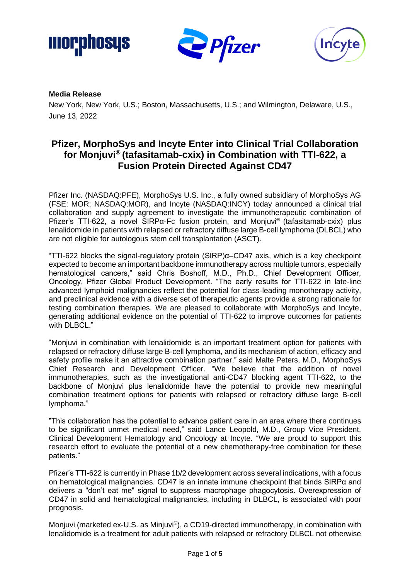





# **Media Release**

New York, New York, U.S.; Boston, Massachusetts, U.S.; and Wilmington, Delaware, U.S., June 13, 2022

# **Pfizer, MorphoSys and Incyte Enter into Clinical Trial Collaboration for Monjuvi® (tafasitamab-cxix) in Combination with TTI-622, a Fusion Protein Directed Against CD47**

Pfizer Inc. (NASDAQ:PFE), MorphoSys U.S. Inc., a fully owned subsidiary of MorphoSys AG (FSE: MOR; NASDAQ:MOR), and Incyte (NASDAQ:INCY) today announced a clinical trial collaboration and supply agreement to investigate the immunotherapeutic combination of Pfizer's TTI-622, a novel SIRPα-Fc fusion protein, and Monjuvi® (tafasitamab-cxix) plus lenalidomide in patients with relapsed or refractory diffuse large B-cell lymphoma (DLBCL) who are not eligible for autologous stem cell transplantation (ASCT).

"TTI-622 blocks the signal-regulatory protein (SIRP)α–CD47 axis, which is a key checkpoint expected to become an important backbone immunotherapy across multiple tumors, especially hematological cancers," said Chris Boshoff, M.D., Ph.D., Chief Development Officer, Oncology, Pfizer Global Product Development. "The early results for TTI-622 in late-line advanced lymphoid malignancies reflect the potential for class-leading monotherapy activity, and preclinical evidence with a diverse set of therapeutic agents provide a strong rationale for testing combination therapies. We are pleased to collaborate with MorphoSys and Incyte, generating additional evidence on the potential of TTI-622 to improve outcomes for patients with DLBCL."

"Monjuvi in combination with lenalidomide is an important treatment option for patients with relapsed or refractory diffuse large B-cell lymphoma, and its mechanism of action, efficacy and safety profile make it an attractive combination partner," said Malte Peters, M.D., MorphoSys Chief Research and Development Officer. "We believe that the addition of novel immunotherapies, such as the investigational anti-CD47 blocking agent TTI-622, to the backbone of Monjuvi plus lenalidomide have the potential to provide new meaningful combination treatment options for patients with relapsed or refractory diffuse large B-cell lymphoma."

"This collaboration has the potential to advance patient care in an area where there continues to be significant unmet medical need," said Lance Leopold, M.D., Group Vice President, Clinical Development Hematology and Oncology at Incyte. "We are proud to support this research effort to evaluate the potential of a new chemotherapy-free combination for these patients."

Pfizer's TTI-622 is currently in Phase 1b/2 development across several indications, with a focus on hematological malignancies. CD47 is an innate immune checkpoint that binds SIRPα and delivers a "don't eat me" signal to suppress macrophage phagocytosis. Overexpression of CD47 in solid and hematological malignancies, including in DLBCL, is associated with poor prognosis.

Monjuvi (marketed ex-U.S. as Minjuvi®), a CD19-directed immunotherapy, in combination with lenalidomide is a treatment for adult patients with relapsed or refractory DLBCL not otherwise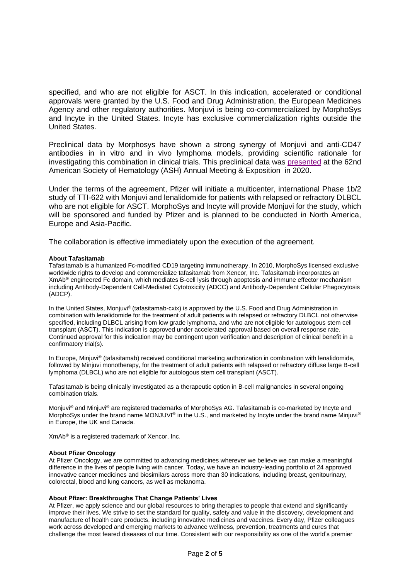specified, and who are not eligible for ASCT. In this indication, accelerated or conditional approvals were granted by the U.S. Food and Drug Administration, the European Medicines Agency and other regulatory authorities. Monjuvi is being co-commercialized by MorphoSys and Incyte in the United States. Incyte has exclusive commercialization rights outside the United States.

Preclinical data by Morphosys have shown a strong synergy of Monjuvi and anti-CD47 antibodies in in vitro and in vivo lymphoma models, providing scientific rationale for investigating this combination in clinical trials. This preclinical data was [presented](https://urldefense.com/v3/__https:/ash.confex.com/ash/2020/webprogram/Paper139582.html__;!!H9nueQsQ!8300NUwcKhikicL4z-_ZYqUObwdMGbSg7fRR23e4K14vOrev9bMTioejsrrIO7bU6Q-kSlzr1ku9UWx7TOopbXQ1J8Tf8Atr$) at the 62nd American Society of Hematology (ASH) Annual Meeting & Exposition in 2020.

Under the terms of the agreement, Pfizer will initiate a multicenter, international Phase 1b/2 study of TTI-622 with Monjuvi and lenalidomide for patients with relapsed or refractory DLBCL who are not eligible for ASCT. MorphoSys and Incyte will provide Monjuvi for the study, which will be sponsored and funded by Pfizer and is planned to be conducted in North America, Europe and Asia-Pacific.

The collaboration is effective immediately upon the execution of the agreement.

## **About Tafasitamab**

Tafasitamab is a humanized Fc-modified CD19 targeting immunotherapy. In 2010, MorphoSys licensed exclusive worldwide rights to develop and commercialize tafasitamab from Xencor, Inc. Tafasitamab incorporates an XmAb® engineered Fc domain, which mediates B-cell lysis through apoptosis and immune effector mechanism including Antibody-Dependent Cell-Mediated Cytotoxicity (ADCC) and Antibody-Dependent Cellular Phagocytosis (ADCP).

In the United States, Monjuvi® (tafasitamab-cxix) is approved by the U.S. Food and Drug Administration in combination with lenalidomide for the treatment of adult patients with relapsed or refractory DLBCL not otherwise specified, including DLBCL arising from low grade lymphoma, and who are not eligible for autologous stem cell transplant (ASCT). This indication is approved under accelerated approval based on overall response rate. Continued approval for this indication may be contingent upon verification and description of clinical benefit in a confirmatory trial(s).

In Europe, Minjuvi® (tafasitamab) received conditional marketing authorization in combination with lenalidomide, followed by Minjuvi monotherapy, for the treatment of adult patients with relapsed or refractory diffuse large B-cell lymphoma (DLBCL) who are not eligible for autologous stem cell transplant (ASCT).

Tafasitamab is being clinically investigated as a therapeutic option in B-cell malignancies in several ongoing combination trials.

Monjuvi® and Minjuvi® are registered trademarks of MorphoSys AG. Tafasitamab is co-marketed by Incyte and MorphoSys under the brand name MONJUVI<sup>®</sup> in the U.S., and marketed by Incyte under the brand name Miniuvi<sup>®</sup> in Europe, the UK and Canada.

XmAb® is a registered trademark of Xencor, Inc.

## **About Pfizer Oncology**

At Pfizer Oncology, we are committed to advancing medicines wherever we believe we can make a meaningful difference in the lives of people living with cancer. Today, we have an industry-leading portfolio of 24 approved innovative cancer medicines and biosimilars across more than 30 indications, including breast, genitourinary, colorectal, blood and lung cancers, as well as melanoma.

## **About Pfizer: Breakthroughs That Change Patients' Lives**

At Pfizer, we apply science and our global resources to bring therapies to people that extend and significantly improve their lives. We strive to set the standard for quality, safety and value in the discovery, development and manufacture of health care products, including innovative medicines and vaccines. Every day, Pfizer colleagues work across developed and emerging markets to advance wellness, prevention, treatments and cures that challenge the most feared diseases of our time. Consistent with our responsibility as one of the world's premier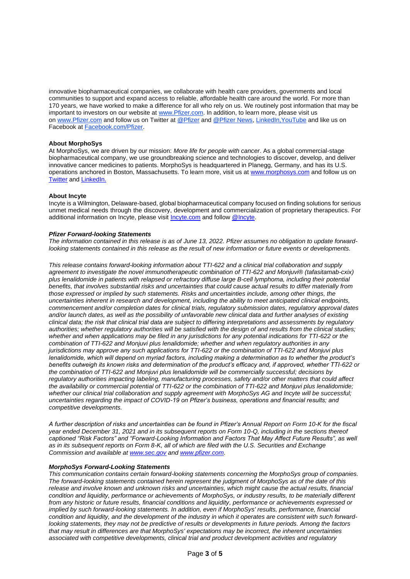innovative biopharmaceutical companies, we collaborate with health care providers, governments and local communities to support and expand access to reliable, affordable health care around the world. For more than 170 years, we have worked to make a difference for all who rely on us. We routinely post information that may be important to investors on our website at [www.Pfizer.com.](https://www.pfizer.com/) In addition, to learn more, please visit us on [www.Pfizer.com](https://www.pfizer.com/) and follow us on Twitter at [@Pfizer](https://twitter.com/pfizer) and [@Pfizer News,](https://twitter.com/pfizer_news) [LinkedIn,](https://www.linkedin.com/company/pfizer/)[YouTube](https://www.youtube.com/pfizer) and like us on Facebook at [Facebook.com/Pfizer.](https://www.facebook.com/Pfizer/)

## **About MorphoSys**

At MorphoSys, we are driven by our mission: *More life for people with cancer*. As a global commercial-stage biopharmaceutical company, we use groundbreaking science and technologies to discover, develop, and deliver innovative cancer medicines to patients. MorphoSys is headquartered in Planegg, Germany, and has its U.S. operations anchored in Boston, Massachusetts. To learn more, visit us at [www.morphosys.com](http://www.morphosys.com/) and follow us on [Twitter](https://twitter.com/morphosys) and [LinkedIn.](https://www.linkedin.com/company/morphosys/)

#### **About Incyte**

Incyte is a Wilmington, Delaware-based, global biopharmaceutical company focused on finding solutions for serious unmet medical needs through the discovery, development and commercialization of proprietary therapeutics. For additional information on Incyte, please visit [Incyte.com](http://www.incyte.com/) and follow [@Incyte.](https://twitter.com/Incyte)

#### *Pfizer Forward-looking Statements*

*The information contained in this release is as of June 13, 2022. Pfizer assumes no obligation to update forwardlooking statements contained in this release as the result of new information or future events or developments.*

*This release contains forward-looking information about TTI-622 and a clinical trial collaboration and supply agreement to investigate the novel immunotherapeutic combination of TTI-622 and Monjuvi® (tafasitamab-cxix) plus lenalidomide in patients with relapsed or refractory diffuse large B-cell lymphoma, including their potential benefits, that involves substantial risks and uncertainties that could cause actual results to differ materially from those expressed or implied by such statements. Risks and uncertainties include, among other things, the uncertainties inherent in research and development, including the ability to meet anticipated clinical endpoints, commencement and/or completion dates for clinical trials, regulatory submission dates, regulatory approval dates and/or launch dates, as well as the possibility of unfavorable new clinical data and further analyses of existing clinical data; the risk that clinical trial data are subject to differing interpretations and assessments by regulatory authorities; whether regulatory authorities will be satisfied with the design of and results from the clinical studies;*  whether and when applications may be filed in any jurisdictions for any potential indications for TTI-622 or the *combination of TTI-622 and Monjuvi plus lenalidomide; whether and when regulatory authorities in any jurisdictions may approve any such applications for TTI-622 or the combination of TTI-622 and Monjuvi plus lenalidomide, which will depend on myriad factors, including making a determination as to whether the product's benefits outweigh its known risks and determination of the product's efficacy and, if approved, whether TTI-622 or the combination of TTI-622 and Monjuvi plus lenalidomide will be commercially successful; decisions by regulatory authorities impacting labeling, manufacturing processes, safety and/or other matters that could affect the availability or commercial potential of TTI-622 or the combination of TTI-622 and Monjuvi plus lenalidomide;*  whether our clinical trial collaboration and supply agreement with MorphoSys AG and Incyte will be successful; *uncertainties regarding the impact of COVID-19 on Pfizer's business, operations and financial results; and competitive developments.*

*A further description of risks and uncertainties can be found in Pfizer's Annual Report on Form 10-K for the fiscal year ended December 31, 2021 and in its subsequent reports on Form 10-Q, including in the sections thereof captioned "Risk Factors" and "Forward-Looking Information and Factors That May Affect Future Results", as well* as in its subsequent reports on Form 8-K, all of which are filed with the U.S. Securities and Exchange *Commission and available at [www.sec.gov](http://www.sec.gov/) and [www.pfizer.com.](http://www.pfizer.com/)*

#### *MorphoSys Forward-Looking Statements*

*This communication contains certain forward-looking statements concerning the MorphoSys group of companies. The forward-looking statements contained herein represent the judgment of MorphoSys as of the date of this release and involve known and unknown risks and uncertainties, which might cause the actual results, financial condition and liquidity, performance or achievements of MorphoSys, or industry results, to be materially different*  from any historic or future results, financial conditions and liquidity, performance or achievements expressed or *implied by such forward-looking statements. In addition, even if MorphoSys' results, performance, financial condition and liquidity, and the development of the industry in which it operates are consistent with such forwardlooking statements, they may not be predictive of results or developments in future periods. Among the factors that may result in differences are that MorphoSys' expectations may be incorrect, the inherent uncertainties associated with competitive developments, clinical trial and product development activities and regulatory*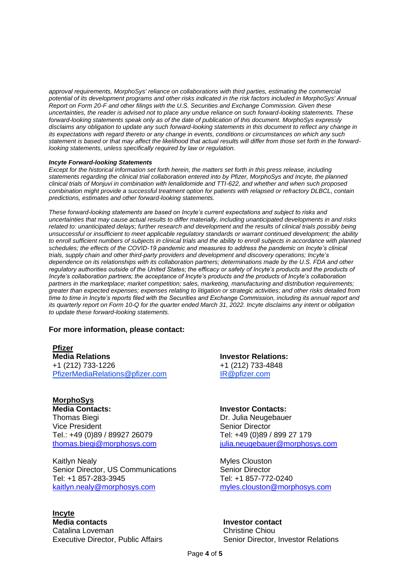*approval requirements, MorphoSys' reliance on collaborations with third parties, estimating the commercial potential of its development programs and other risks indicated in the risk factors included in MorphoSys' Annual Report on Form 20-F and other filings with the U.S. Securities and Exchange Commission. Given these uncertainties, the reader is advised not to place any undue reliance on such forward-looking statements. These forward-looking statements speak only as of the date of publication of this document. MorphoSys expressly disclaims any obligation to update any such forward-looking statements in this document to reflect any change in its expectations with regard thereto or any change in events, conditions or circumstances on which any such statement is based or that may affect the likelihood that actual results will differ from those set forth in the forwardlooking statements, unless specifically required by law or regulation.*

## *Incyte Forward-looking Statements*

*Except for the historical information set forth herein, the matters set forth in this press release, including statements regarding the clinical trial collaboration entered into by Pfizer, MorphoSys and Incyte, the planned clinical trials of Monjuvi in combination with lenalidomide and TTI-622, and whether and when such proposed combination might provide a successful treatment option for patients with relapsed or refractory DLBCL, contain predictions, estimates and other forward-looking statements.*

*These forward-looking statements are based on Incyte's current expectations and subject to risks and uncertainties that may cause actual results to differ materially, including unanticipated developments in and risks*  related to: unanticipated delays; further research and development and the results of clinical trials possibly being *unsuccessful or insufficient to meet applicable regulatory standards or warrant continued development; the ability*  to enroll sufficient numbers of subjects in clinical trials and the ability to enroll subjects in accordance with planned *schedules; the effects of the COVID-19 pandemic and measures to address the pandemic on Incyte's clinical trials, supply chain and other third-party providers and development and discovery operations; Incyte's dependence on its relationships with its collaboration partners; determinations made by the U.S. FDA and other regulatory authorities outside of the United States; the efficacy or safety of Incyte's products and the products of Incyte's collaboration partners; the acceptance of Incyte's products and the products of Incyte's collaboration partners in the marketplace; market competition; sales, marketing, manufacturing and distribution requirements; greater than expected expenses; expenses relating to litigation or strategic activities; and other risks detailed from time to time in Incyte's reports filed with the Securities and Exchange Commission, including its annual report and its quarterly report on Form 10-Q for the quarter ended March 31, 2022. Incyte disclaims any intent or obligation to update these forward-looking statements.*

# **For more information, please contact:**

**Pfizer Media Relations** +1 (212) 733-1226 [PfizerMediaRelations@pfizer.com](mailto:PfizerMediaRelations@pfizer.com)

**MorphoSys Media Contacts:** Thomas Biegi Vice President Tel.: +49 (0)89 / 89927 26079 [thomas.biegi@morphosys.com](mailto:thomas.biegi@morphosys.com)

Kaitlyn Nealy Senior Director, US Communications Tel: +1 857-283-3945 [kaitlyn.nealy@morphosys.com](mailto:kaitlyn.nealy@morphosys.com)

# **Incyte Media contacts** Catalina Loveman Executive Director, Public Affairs

**Investor Relations:** +1 (212) 733-4848 [IR@pfizer.com](https://www.pfizer.com/news/press-release/press-release-detail/IR@pfizer.com)

# **Investor Contacts:**

Dr. Julia Neugebauer Senior Director Tel: +49 (0)89 / 899 27 179 [julia.neugebauer@morphosys.com](mailto:julia.neugebauer@morphosys.com)

Myles Clouston Senior Director Tel: +1 857-772-0240 [myles.clouston@morphosys.com](mailto:myles.clouston@morphosys.com)

**Investor contact** Christine Chiou Senior Director, Investor Relations